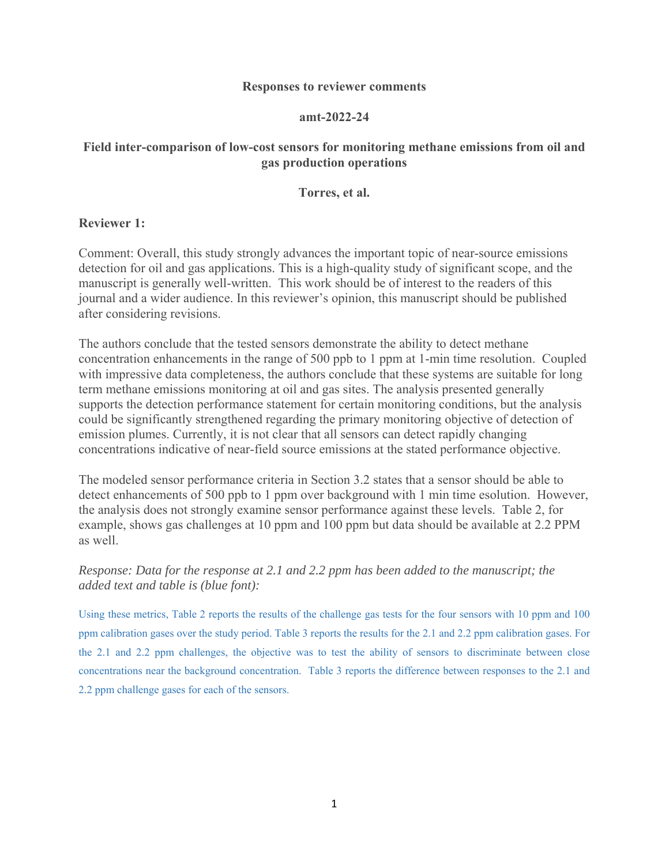#### **Responses to reviewer comments**

#### **amt-2022-24**

# **Field inter-comparison of low-cost sensors for monitoring methane emissions from oil and gas production operations**

#### **Torres, et al.**

### **Reviewer 1:**

Comment: Overall, this study strongly advances the important topic of near-source emissions detection for oil and gas applications. This is a high-quality study of significant scope, and the manuscript is generally well-written. This work should be of interest to the readers of this journal and a wider audience. In this reviewer's opinion, this manuscript should be published after considering revisions.

The authors conclude that the tested sensors demonstrate the ability to detect methane concentration enhancements in the range of 500 ppb to 1 ppm at 1-min time resolution. Coupled with impressive data completeness, the authors conclude that these systems are suitable for long term methane emissions monitoring at oil and gas sites. The analysis presented generally supports the detection performance statement for certain monitoring conditions, but the analysis could be significantly strengthened regarding the primary monitoring objective of detection of emission plumes. Currently, it is not clear that all sensors can detect rapidly changing concentrations indicative of near-field source emissions at the stated performance objective.

The modeled sensor performance criteria in Section 3.2 states that a sensor should be able to detect enhancements of 500 ppb to 1 ppm over background with 1 min time esolution. However, the analysis does not strongly examine sensor performance against these levels. Table 2, for example, shows gas challenges at 10 ppm and 100 ppm but data should be available at 2.2 PPM as well.

# *Response: Data for the response at 2.1 and 2.2 ppm has been added to the manuscript; the added text and table is (blue font):*

Using these metrics, Table 2 reports the results of the challenge gas tests for the four sensors with 10 ppm and 100 ppm calibration gases over the study period. Table 3 reports the results for the 2.1 and 2.2 ppm calibration gases. For the 2.1 and 2.2 ppm challenges, the objective was to test the ability of sensors to discriminate between close concentrations near the background concentration. Table 3 reports the difference between responses to the 2.1 and 2.2 ppm challenge gases for each of the sensors.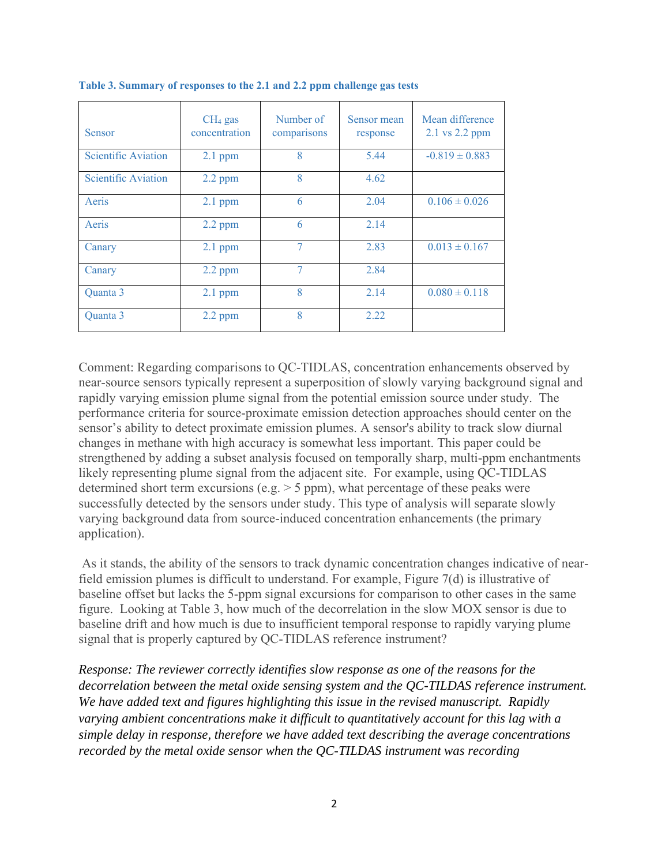| Sensor                     | $CH4$ gas<br>concentration | Number of<br>comparisons | Sensor mean<br>response | Mean difference<br>2.1 vs 2.2 ppm |
|----------------------------|----------------------------|--------------------------|-------------------------|-----------------------------------|
| <b>Scientific Aviation</b> | $2.1$ ppm                  | 8                        | 5.44                    | $-0.819 \pm 0.883$                |
| <b>Scientific Aviation</b> | $2.2$ ppm                  | 8                        | 4.62                    |                                   |
| Aeris                      | $2.1$ ppm                  | 6                        | 2.04                    | $0.106 \pm 0.026$                 |
| Aeris                      | $2.2$ ppm                  | 6                        | 2.14                    |                                   |
| Canary                     | $2.1$ ppm                  | 7                        | 2.83                    | $0.013 \pm 0.167$                 |
| Canary                     | $2.2$ ppm                  | 7                        | 2.84                    |                                   |
| Quanta 3                   | $2.1$ ppm                  | $\mathbf{8}$             | 2.14                    | $0.080 \pm 0.118$                 |
| Quanta 3                   | $2.2$ ppm                  | $\mathbf{8}$             | 2.22                    |                                   |

**Table 3. Summary of responses to the 2.1 and 2.2 ppm challenge gas tests** 

Comment: Regarding comparisons to QC-TIDLAS, concentration enhancements observed by near-source sensors typically represent a superposition of slowly varying background signal and rapidly varying emission plume signal from the potential emission source under study. The performance criteria for source-proximate emission detection approaches should center on the sensor's ability to detect proximate emission plumes. A sensor's ability to track slow diurnal changes in methane with high accuracy is somewhat less important. This paper could be strengthened by adding a subset analysis focused on temporally sharp, multi-ppm enchantments likely representing plume signal from the adjacent site. For example, using QC-TIDLAS determined short term excursions (e.g.  $>$  5 ppm), what percentage of these peaks were successfully detected by the sensors under study. This type of analysis will separate slowly varying background data from source-induced concentration enhancements (the primary application).

 As it stands, the ability of the sensors to track dynamic concentration changes indicative of nearfield emission plumes is difficult to understand. For example, Figure 7(d) is illustrative of baseline offset but lacks the 5-ppm signal excursions for comparison to other cases in the same figure. Looking at Table 3, how much of the decorrelation in the slow MOX sensor is due to baseline drift and how much is due to insufficient temporal response to rapidly varying plume signal that is properly captured by QC-TIDLAS reference instrument?

*Response: The reviewer correctly identifies slow response as one of the reasons for the decorrelation between the metal oxide sensing system and the QC-TILDAS reference instrument. We have added text and figures highlighting this issue in the revised manuscript. Rapidly varying ambient concentrations make it difficult to quantitatively account for this lag with a simple delay in response, therefore we have added text describing the average concentrations recorded by the metal oxide sensor when the QC-TILDAS instrument was recording*